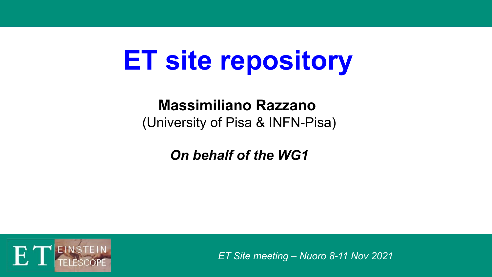# **ET site repository**

## **Massimiliano Razzano**  (University of Pisa & INFN-Pisa)

*On behalf of the WG1*



*ET Site meeting – Nuoro 8-11 Nov 2021*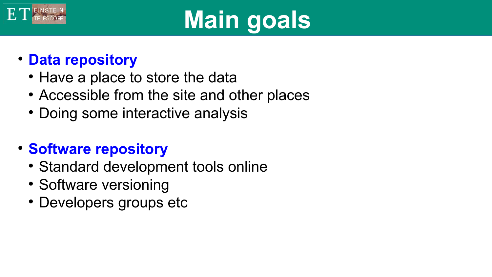

# **Main goals**

## **Data repository**

- Have a place to store the data
- Accessible from the site and other places
- Doing some interactive analysis

## **• Software repository**

- Standard development tools online
- Software versioning
- Developers groups etc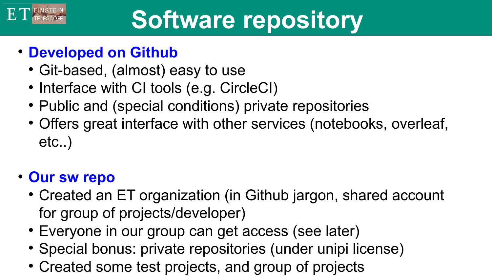

## **Developed on Github**

- Git-based, (almost) easy to use
- Interface with CI tools (e.g. CircleCI)
- Public and (special conditions) private repositories
- Offers great interface with other services (notebooks, overleaf, etc..)

## **Our sw repo**

- Created an ET organization (in Github jargon, shared account for group of projects/developer)
- Everyone in our group can get access (see later)
- Special bonus: private repositories (under unipi license)
- Created some test projects, and group of projects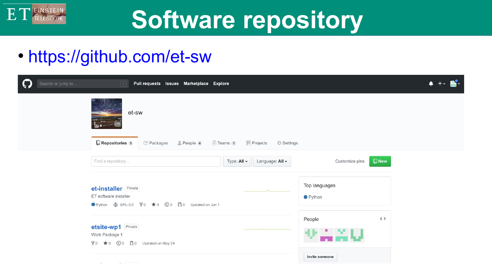

## **Software repository**

## https://github.com/et-sw

| Search or jump to                         | Pull requests Issues Marketplace Explore<br>$\vert$                                      |                                |                                 | $\bullet$ |  |  |  |  |  |
|-------------------------------------------|------------------------------------------------------------------------------------------|--------------------------------|---------------------------------|-----------|--|--|--|--|--|
|                                           | et-sw                                                                                    |                                |                                 |           |  |  |  |  |  |
|                                           | $\Box$ Repositories 5<br>Teams 1   Projects<br>Packages<br>People 4<br><b>₿</b> Settings |                                |                                 |           |  |  |  |  |  |
| Find a repository                         |                                                                                          | Type: All -<br>Language: All - | $\square$ New<br>Customize pins |           |  |  |  |  |  |
| ET software installer                     | et-installer Private                                                                     |                                | Top languages<br>● Python       |           |  |  |  |  |  |
| etsite-wp1 Private<br>Work Package 1      | § 0 ★ 0 ① 0 10 Updated on May 29                                                         |                                | $4 \rangle$<br>People           |           |  |  |  |  |  |
| the company of the company of the company |                                                                                          |                                | Invite someone                  |           |  |  |  |  |  |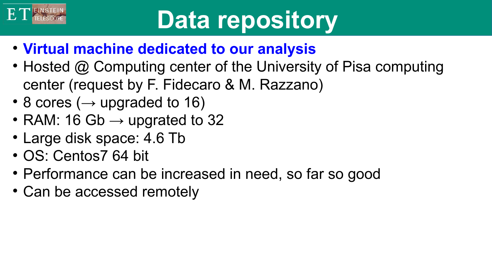

# **Data repository**

- **Virtual machine dedicated to our analysis**
- Hosted @ Computing center of the University of Pisa computing center (request by F. Fidecaro & M. Razzano)
- 8 cores ( $\rightarrow$  upgraded to 16)
- RAM: 16 Gb  $\rightarrow$  upgrated to 32
- Large disk space: 4.6 Tb
- OS: Centos7 64 bit
- Performance can be increased in need, so far so good
- Can be accessed remotely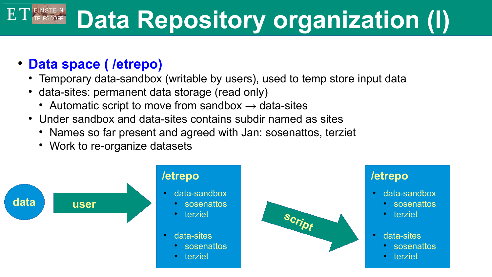## $ET$  EINSTEIN **Data Repository organization (I)**

#### **Data space ( /etrepo)**

- Temporary data-sandbox (writable by users), used to temp store input data
- data-sites: permanent data storage (read only)
	- Automatic script to move from sandbox  $\rightarrow$  data-sites
- Under sandbox and data-sites contains subdir named as sites
	- Names so far present and agreed with Jan: sosenattos, terziet
	- Work to re-organize datasets

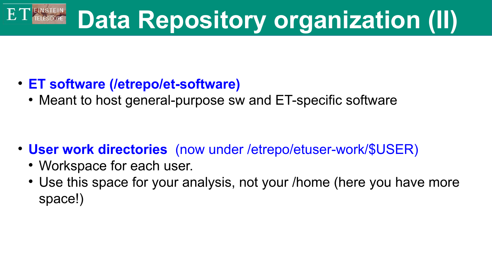## $ET$  EINSTEIN **Data Repository organization (II)**

- **ET software (/etrepo/et-software)**
	- Meant to host general-purpose sw and ET-specific software

- **User work directories** (now under /etrepo/etuser-work/\$USER)
	- Workspace for each user.
	- Use this space for your analysis, not your /home (here you have more space!)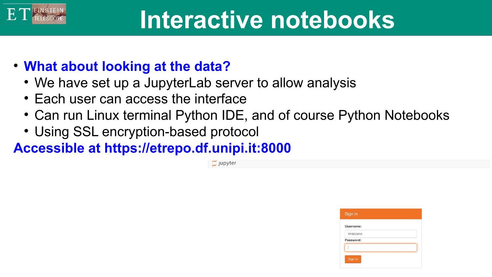## **Interactive notebooks**

- **What about looking at the data?**
	- We have set up a JupyterLab server to allow analysis
	- Each user can access the interface
	- Can run Linux terminal Python IDE, and of course Python Notebooks
	- Using SSL encryption-based protocol

**Accessible at https://etrepo.df.unipi.it:8000**

 $\tilde{\mathbb{C}}$  jupyter

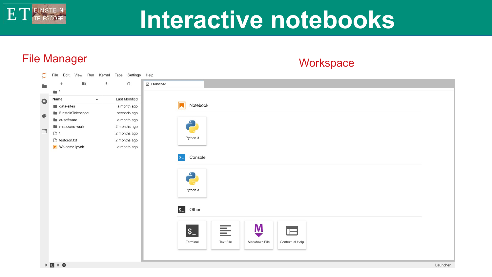## **Interactive notebooks**

## File Manager Workspace

E

| $\overline{\phantom{0}}$<br>$\checkmark$ | File Edit View Run Kernel Tabs Settings Help |                        |                                                                                                                      |
|------------------------------------------|----------------------------------------------|------------------------|----------------------------------------------------------------------------------------------------------------------|
|                                          | $\pmb{\pm}$<br><b>B</b><br>$^{+}$            | $\rm{C}$<br>Z Launcher |                                                                                                                      |
|                                          | $\qquad \qquad \blacksquare$                 |                        |                                                                                                                      |
| $\bullet$                                | Name<br>$\blacktriangle$                     | Last Modified          |                                                                                                                      |
|                                          | $\blacksquare$ data-sites                    | a month ago            | Notebook                                                                                                             |
| ⊕                                        | EinsteinTelescope                            | seconds ago            |                                                                                                                      |
|                                          | et-software                                  | a month ago            |                                                                                                                      |
|                                          | mrazzano-work                                | 2 months ago           | Ë,                                                                                                                   |
| $\Box$                                   | $\Box$                                       | 2 months ago           |                                                                                                                      |
|                                          | $B$ testcron.txt                             | 2 months ago           | Python 3                                                                                                             |
|                                          | Welcome.ipynb                                | a month ago            |                                                                                                                      |
|                                          |                                              |                        | Console<br>$\sum_{i=1}^{n}$                                                                                          |
|                                          |                                              |                        | Ĉ<br>Python 3                                                                                                        |
|                                          |                                              |                        | $s_{-}$<br>Other                                                                                                     |
|                                          |                                              |                        | M<br>튼<br>$\vert \mathbf{s}_{-} \vert$<br>$\Box$<br>Markdown File<br>Terminal<br><b>Text File</b><br>Contextual Help |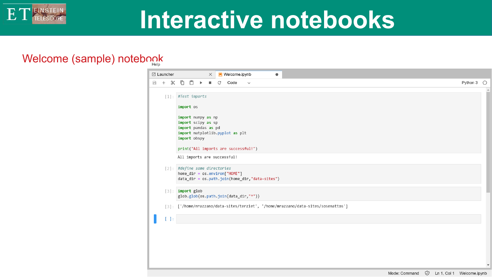

## **Interactive notebooks**

#### Welcome (sample) notebook

|        | Z Launcher                              |                                                                                                                    |           |  | $\times$ |   | <b>N</b> Welcome.ipynb                |              |                                                | $\bullet$ |  |                                                                                    |                       |          |
|--------|-----------------------------------------|--------------------------------------------------------------------------------------------------------------------|-----------|--|----------|---|---------------------------------------|--------------|------------------------------------------------|-----------|--|------------------------------------------------------------------------------------|-----------------------|----------|
| $\Box$ | $+ \times 0 0 \rightarrow \blacksquare$ |                                                                                                                    |           |  |          | C | Code                                  | $\checkmark$ |                                                |           |  |                                                                                    | Python $3$ $\bigcirc$ |          |
|        | $[1]$ : #Test imports                   |                                                                                                                    | import os |  |          |   |                                       |              |                                                |           |  |                                                                                    |                       | $\Delta$ |
|        |                                         | import numpy as np<br>import scipy as sp<br>import pandas as pd<br>import matplotlib.pyplot as plt<br>import obspy |           |  |          |   |                                       |              |                                                |           |  |                                                                                    |                       |          |
|        |                                         | print("All imports are successful!")                                                                               |           |  |          |   |                                       |              |                                                |           |  |                                                                                    |                       |          |
|        |                                         | All imports are successful!                                                                                        |           |  |          |   |                                       |              |                                                |           |  |                                                                                    |                       |          |
|        | [2]: #define some directories           |                                                                                                                    |           |  |          |   | $home\_dir = os.environ['HOME"]$      |              | data_dir = os.path.join(home_dir,"data-sites") |           |  |                                                                                    |                       |          |
|        | [3]: import glob                        |                                                                                                                    |           |  |          |   | glob.glob(os.path.join(data_dir,"*")) |              |                                                |           |  |                                                                                    |                       |          |
|        |                                         |                                                                                                                    |           |  |          |   |                                       |              |                                                |           |  | [3]: ['/home/mrazzano/data-sites/terziet', '/home/mrazzano/data-sites/sosenattos'] |                       |          |
|        | Ŀ                                       |                                                                                                                    |           |  |          |   |                                       |              |                                                |           |  |                                                                                    |                       |          |
|        |                                         |                                                                                                                    |           |  |          |   |                                       |              |                                                |           |  |                                                                                    |                       |          |
|        |                                         |                                                                                                                    |           |  |          |   |                                       |              |                                                |           |  |                                                                                    |                       |          |
|        |                                         |                                                                                                                    |           |  |          |   |                                       |              |                                                |           |  |                                                                                    |                       |          |
|        |                                         |                                                                                                                    |           |  |          |   |                                       |              |                                                |           |  |                                                                                    |                       |          |
|        |                                         |                                                                                                                    |           |  |          |   |                                       |              |                                                |           |  |                                                                                    |                       | ٠        |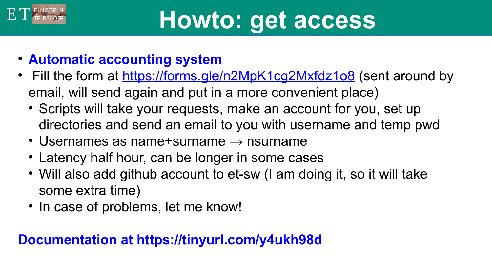# **Howto: get access**

- **Automatic accounting system**
- Fill the form at<https://forms.gle/n2MpK1cg2Mxfdz1o8>(sent around by email, will send again and put in a more convenient place)
	- Scripts will take your requests, make an account for you, set up directories and send an email to you with username and temp pwd
	- $\cdot$  Usernames as name+surname  $\rightarrow$  nsurname
	- Latency half hour, can be longer in some cases
	- Will also add github account to et-sw (I am doing it, so it will take some extra time)
	- In case of problems, let me know!

## **Documentation at https://tinyurl.com/y4ukh98d**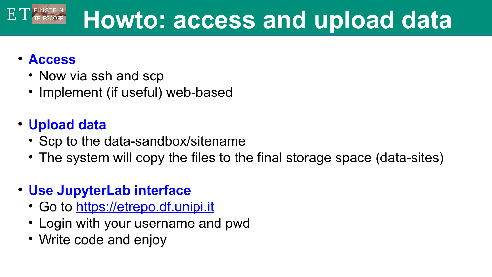#### E<sub>T</sub> **Howto: access and upload data**

### **Access**

- Now via ssh and scp
- Implement (if useful) web-based
- **Upload data**
	- Scp to the data-sandbox/sitename
	- The system will copy the files to the final storage space (data-sites)
- **Use JupyterLab interface**
	- Go to [https://etrepo.df.unipi.it](https://etrepo.df.unipi.it/)
	- Login with your username and pwd
	- Write code and enjoy